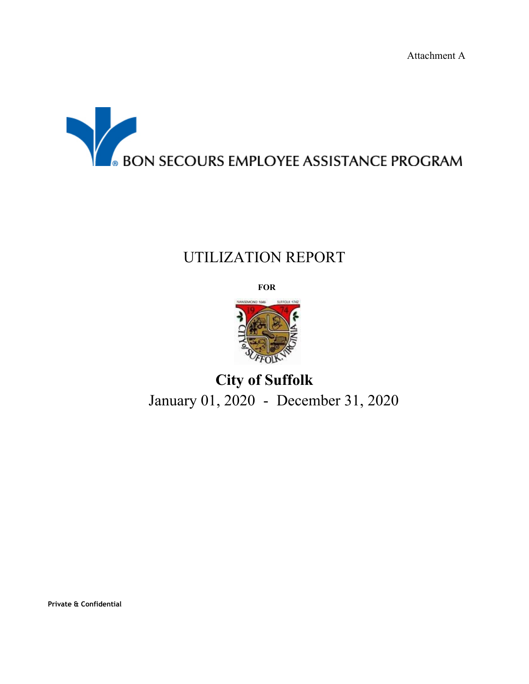Attachment A



## UTILIZATION REPORT

**FOR**



# **City of Suffolk** January 01, 2020 - December 31, 2020

**Private & Confidential**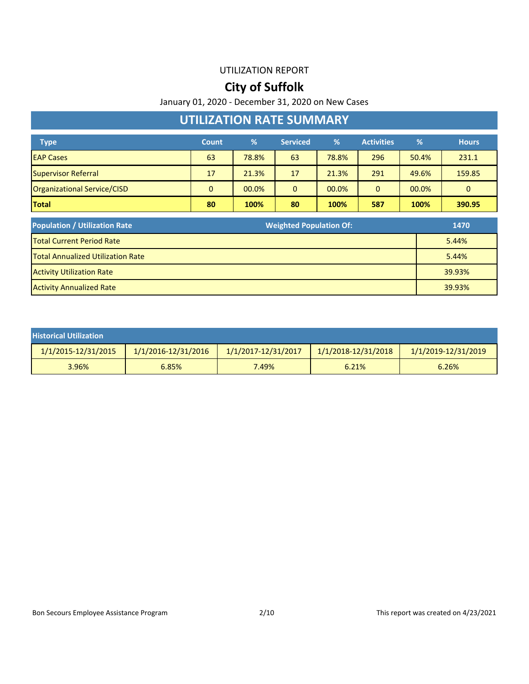### **City of Suffolk**

January 01, 2020 - December 31, 2020 on New Cases

### **UTILIZATION RATE SUMMARY**

| <b>Type</b>                 | <b>Count</b> | %     | <b>Serviced</b> | %     | <b>Activities</b> | %     | <b>Hours</b> |
|-----------------------------|--------------|-------|-----------------|-------|-------------------|-------|--------------|
| <b>EAP Cases</b>            | 63           | 78.8% | 63              | 78.8% | 296               | 50.4% | 231.1        |
| Supervisor Referral         | 17           | 21.3% | 17              | 21.3% | 291               | 49.6% | 159.85       |
| Organizational Service/CISD | 0            | 00.0% | 0               | 00.0% | $\mathbf{0}$      | 00.0% | 0            |
| <b>Total</b>                | 80           | 100%  | 80              | 100%  | 587               | 100%  | 390.95       |

| <b>Population / Utilization Rate</b>     | <b>Weighted Population Of:</b><br>1470 |  |
|------------------------------------------|----------------------------------------|--|
| <b>Total Current Period Rate</b>         | 5.44%                                  |  |
| <b>Total Annualized Utilization Rate</b> | 5.44%                                  |  |
| <b>Activity Utilization Rate</b>         | 39.93%                                 |  |
| <b>Activity Annualized Rate</b>          | 39.93%                                 |  |

| <b>Historical Utilization</b> |                     |                     |                         |                     |
|-------------------------------|---------------------|---------------------|-------------------------|---------------------|
| 1/1/2015-12/31/2015           | 1/1/2016-12/31/2016 | 1/1/2017-12/31/2017 | $1/1/2018 - 12/31/2018$ | 1/1/2019-12/31/2019 |
| 3.96%                         | 6.85%               | 7.49%               | 6.21%                   | 6.26%               |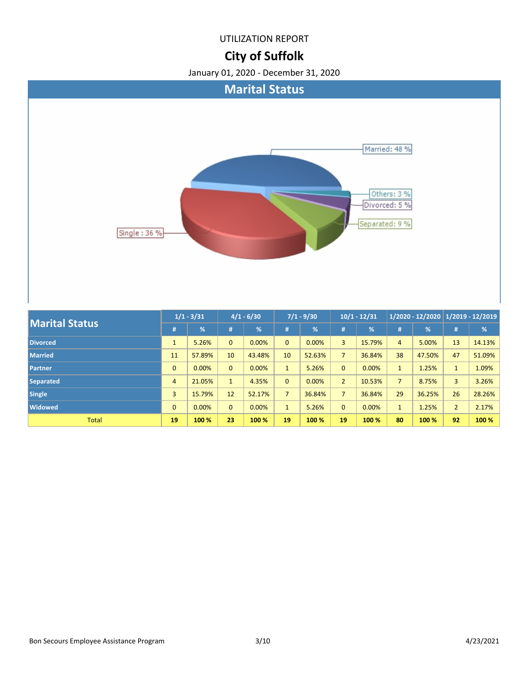### **City of Suffolk**



| <b>Marital Status</b> | $1/1 - 3/31$   |               | $4/1 - 6/30$ |               | $7/1 - 9/30$   |        | $10/1 - 12/31$ |               | $1/2020 - 12/2020$   $1/2019 - 12/2019$ |        |                |        |
|-----------------------|----------------|---------------|--------------|---------------|----------------|--------|----------------|---------------|-----------------------------------------|--------|----------------|--------|
|                       | #              | $\frac{9}{6}$ | #            | $\frac{9}{6}$ | #              | %      | #              | $\frac{9}{6}$ | #                                       | %      | #              | %      |
| <b>Divorced</b>       |                | 5.26%         | $\mathbf{0}$ | 0.00%         | $\overline{0}$ | 0.00%  | 3              | 15.79%        | 4                                       | 5.00%  | 13             | 14.13% |
| <b>Married</b>        | 11             | 57.89%        | 10           | 43.48%        | 10             | 52.63% | $\overline{7}$ | 36.84%        | 38                                      | 47.50% | 47             | 51.09% |
| Partner               | $\mathbf{0}$   | 0.00%         | $\mathbf{0}$ | 0.00%         | $\mathbf{1}$   | 5.26%  | $\mathbf{0}$   | 0.00%         | $\mathbf{1}$                            | 1.25%  | $\mathbf{1}$   | 1.09%  |
| <b>Separated</b>      | $\overline{4}$ | 21.05%        | $\mathbf{1}$ | 4.35%         | $\Omega$       | 0.00%  | $\overline{2}$ | 10.53%        | $\overline{7}$                          | 8.75%  | 3              | 3.26%  |
| <b>Single</b>         | $\overline{3}$ | 15.79%        | 12           | 52.17%        | $\overline{7}$ | 36.84% | $\overline{7}$ | 36.84%        | 29                                      | 36.25% | 26             | 28.26% |
| <b>Widowed</b>        | $\mathbf{0}$   | 0.00%         | $\mathbf{0}$ | 0.00%         |                | 5.26%  | $\mathbf{0}$   | 0.00%         |                                         | 1.25%  | $\overline{2}$ | 2.17%  |
| <b>Total</b>          | 19             | 100 %         | 23           | 100 %         | 19             | 100 %  | 19             | 100 %         | 80                                      | 100 %  | 92             | 100 %  |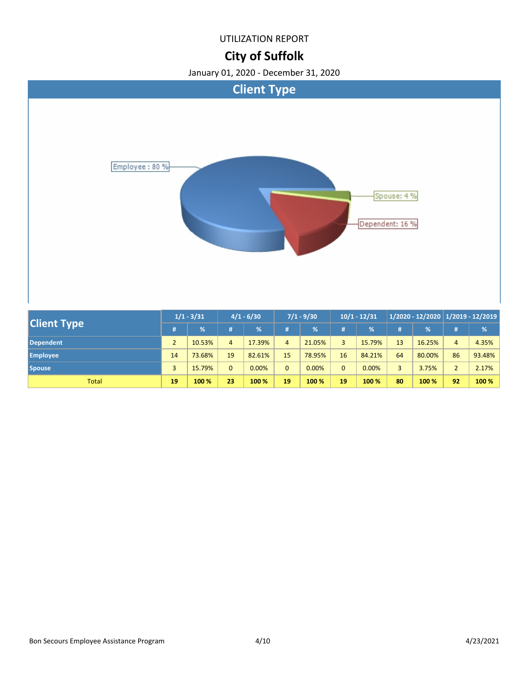### **City of Suffolk**



|                    | $1/1 - 3/31$ |        | $4/1 - 6/30$ |        | $7/1 - 9/30$   |        | $10/1 - 12/31$ |        | 1/2020 - 12/2020   1/2019 - 12/2019 |        |                |         |
|--------------------|--------------|--------|--------------|--------|----------------|--------|----------------|--------|-------------------------------------|--------|----------------|---------|
| <b>Client Type</b> |              | %      | #            | %      | Ħ.             | $\%$   | #              | %      | #                                   | %      | #              | %       |
| <b>Dependent</b>   |              | 10.53% | 4            | 17.39% | $\overline{4}$ | 21.05% | 3              | 15.79% | 13 <sup>°</sup>                     | 16.25% | 4              | 4.35%   |
| <b>Employee</b>    | 14           | 73.68% | 19           | 82.61% | 15             | 78.95% | 16             | 84.21% | 64                                  | 80.00% | 86             | 93.48%  |
| <b>Spouse</b>      | 3            | 15.79% | $\Omega$     | 0.00%  | 0              | 0.00%  | $\overline{0}$ | 0.00%  |                                     | 3.75%  | $\overline{2}$ | 2.17%   |
| <b>Total</b>       | 19           | 100 %  | 23           | 100 %  | 19             | 100 %  | 19             | 100 %  | 80                                  | 100 %  | 92             | $100\%$ |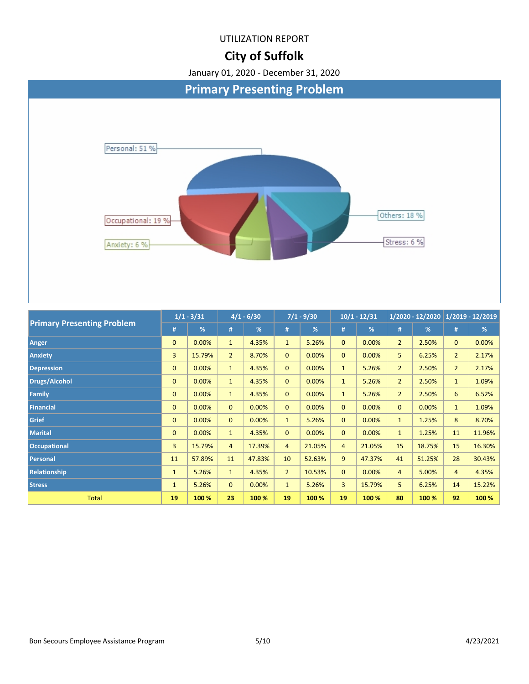### **City of Suffolk**



| $\blacksquare$ Finnary Freschung Frobieni | #              | %      | #              | %      | #              | %      | #              | %      | #              | %      | #              | %      |
|-------------------------------------------|----------------|--------|----------------|--------|----------------|--------|----------------|--------|----------------|--------|----------------|--------|
| Anger                                     | $\mathbf{0}$   | 0.00%  | $\mathbf{1}$   | 4.35%  | $\mathbf{1}$   | 5.26%  | $\mathbf{0}$   | 0.00%  | $\overline{2}$ | 2.50%  | $\mathbf{0}$   | 0.00%  |
| <b>Anxiety</b>                            | $\overline{3}$ | 15.79% | $\overline{2}$ | 8.70%  | $\overline{0}$ | 0.00%  | $\mathbf{0}$   | 0.00%  | 5              | 6.25%  | 2 <sup>2</sup> | 2.17%  |
| <b>Depression</b>                         | $\mathbf{0}$   | 0.00%  | $\mathbf{1}$   | 4.35%  | $\overline{0}$ | 0.00%  | $\mathbf{1}$   | 5.26%  | $\overline{2}$ | 2.50%  | $\overline{2}$ | 2.17%  |
| <b>Drugs/Alcohol</b>                      | $\mathbf{0}$   | 0.00%  | $\mathbf{1}$   | 4.35%  | $\mathbf{0}$   | 0.00%  | $\mathbf{1}$   | 5.26%  | $\overline{2}$ | 2.50%  | $\mathbf{1}$   | 1.09%  |
| Family                                    | $\overline{0}$ | 0.00%  | $\mathbf{1}$   | 4.35%  | $\overline{0}$ | 0.00%  | $\mathbf{1}$   | 5.26%  | $\overline{2}$ | 2.50%  | 6              | 6.52%  |
| <b>Financial</b>                          | $\mathbf{0}$   | 0.00%  | $\mathbf{0}$   | 0.00%  | $\overline{0}$ | 0.00%  | $\mathbf{0}$   | 0.00%  | $\mathbf{0}$   | 0.00%  | $\mathbf{1}$   | 1.09%  |
| <b>Grief</b>                              | $\overline{0}$ | 0.00%  | $\overline{0}$ | 0.00%  | $\mathbf{1}$   | 5.26%  | $\mathbf{0}$   | 0.00%  | $\mathbf{1}$   | 1.25%  | 8              | 8.70%  |
| <b>Marital</b>                            | $\mathbf{0}$   | 0.00%  | $\mathbf{1}$   | 4.35%  | $\overline{0}$ | 0.00%  | $\mathbf{0}$   | 0.00%  | $\mathbf{1}$   | 1.25%  | 11             | 11.96% |
| <b>Occupational</b>                       | $\overline{3}$ | 15.79% | $\overline{4}$ | 17.39% | $\overline{4}$ | 21.05% | $\overline{4}$ | 21.05% | 15             | 18.75% | 15             | 16.30% |
| Personal                                  | 11             | 57.89% | 11             | 47.83% | 10             | 52.63% | 9              | 47.37% | 41             | 51.25% | 28             | 30.43% |
| Relationship                              | $\mathbf{1}$   | 5.26%  | $\mathbf{1}$   | 4.35%  | 2 <sup>2</sup> | 10.53% | $\mathbf{0}$   | 0.00%  | $\overline{4}$ | 5.00%  | $\overline{4}$ | 4.35%  |
| <b>Stress</b>                             | $\mathbf{1}$   | 5.26%  | $\overline{0}$ | 0.00%  | $\mathbf{1}$   | 5.26%  | $\overline{3}$ | 15.79% | 5              | 6.25%  | 14             | 15.22% |
| <b>Total</b>                              | 19             | 100 %  | 23             | 100 %  | 19             | 100 %  | 19             | 100 %  | 80             | 100 %  | 92             | 100 %  |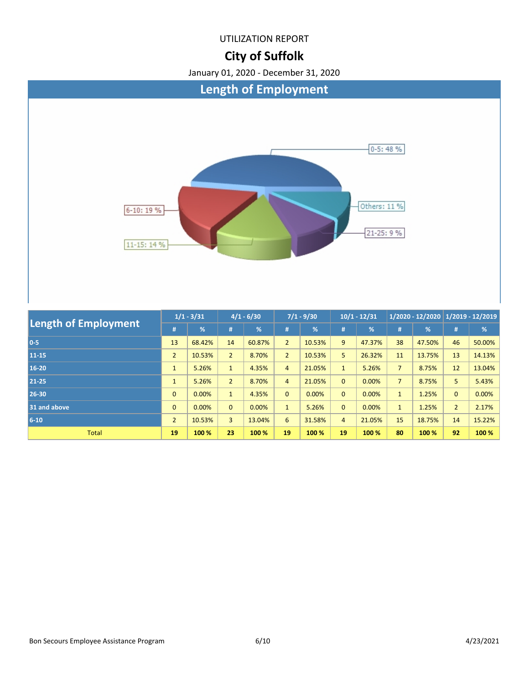### **City of Suffolk**



| <b>Length of Employment</b> | $1/1 - 3/31$   |        | $4/1 - 6/30$   |        | $7/1 - 9/30$   |        | $10/1 - 12/31$ |        | $1/2020 - 12/2020$ 1/2019 - 12/2019 |               |                |        |
|-----------------------------|----------------|--------|----------------|--------|----------------|--------|----------------|--------|-------------------------------------|---------------|----------------|--------|
|                             |                | %      | 1#。            | %      | #              | %      | #              | %      | #                                   | $\frac{9}{6}$ | #              | %      |
| $0-5$                       | 13             | 68.42% | 14             | 60.87% | $\overline{2}$ | 10.53% | 9              | 47.37% | 38                                  | 47.50%        | 46             | 50.00% |
| 11-15                       | $\overline{2}$ | 10.53% | $\overline{2}$ | 8.70%  | $\overline{2}$ | 10.53% | 5              | 26.32% | 11                                  | 13.75%        | 13             | 14.13% |
| 16-20                       | $\mathbf{1}$   | 5.26%  | $\mathbf{1}$   | 4.35%  | $\overline{4}$ | 21.05% | $\mathbf{1}$   | 5.26%  | $\overline{7}$                      | 8.75%         | 12             | 13.04% |
| 21-25                       | $\mathbf{1}$   | 5.26%  | $\overline{2}$ | 8.70%  | $\overline{4}$ | 21.05% | $\mathbf{0}$   | 0.00%  | $\overline{7}$                      | 8.75%         | 5              | 5.43%  |
| 26-30                       | $\mathbf{0}$   | 0.00%  | $\mathbf{1}$   | 4.35%  | $\mathbf{0}$   | 0.00%  | $\mathbf{0}$   | 0.00%  |                                     | 1.25%         | $\mathbf{0}$   | 0.00%  |
| 31 and above                | $\mathbf{0}$   | 0.00%  | $\overline{0}$ | 0.00%  | $\mathbf{1}$   | 5.26%  | $\mathbf{0}$   | 0.00%  | $\mathbf{1}$                        | 1.25%         | $\overline{2}$ | 2.17%  |
| $6 - 10$                    | $\overline{2}$ | 10.53% | $\overline{3}$ | 13.04% | 6              | 31.58% | $\overline{4}$ | 21.05% | 15                                  | 18.75%        | 14             | 15.22% |
| <b>Total</b>                | 19             | 100 %  | 23             | 100 %  | 19             | 100 %  | 19             | 100 %  | 80                                  | 100 %         | 92             | 100 %  |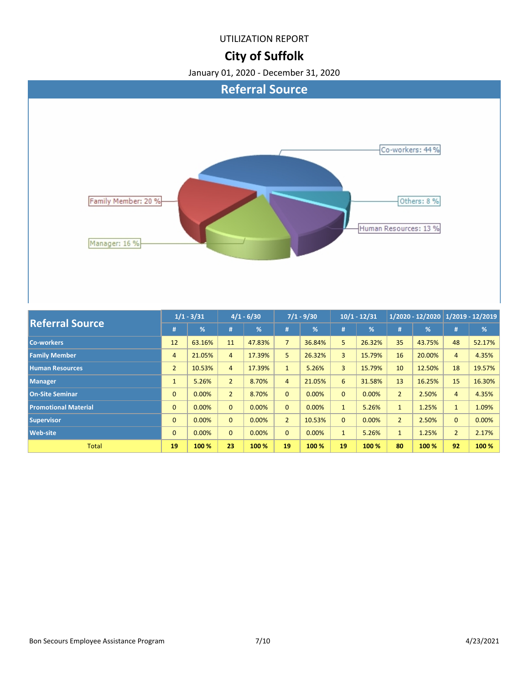## **City of Suffolk**



| <b>Referral Source</b>      |                | $1/1 - 3/31$ | $4/1 - 6/30$   |        | $7/1 - 9/30$   |        | $10/1 - 12/31$ |               | $1/2020 - 12/2020$ $\boxed{1/2019 - 12/2019}$ |               |                |        |
|-----------------------------|----------------|--------------|----------------|--------|----------------|--------|----------------|---------------|-----------------------------------------------|---------------|----------------|--------|
|                             | #              | %            | #              | %      | #              | %      | #              | $\frac{9}{6}$ | #                                             | $\frac{9}{6}$ | #              | %      |
| <b>Co-workers</b>           | 12             | 63.16%       | 11             | 47.83% | $\overline{7}$ | 36.84% | 5              | 26.32%        | 35                                            | 43.75%        | 48             | 52.17% |
| <b>Family Member</b>        | $\overline{4}$ | 21.05%       | $\overline{4}$ | 17.39% | 5              | 26.32% | 3              | 15.79%        | 16                                            | 20.00%        | $\overline{4}$ | 4.35%  |
| <b>Human Resources</b>      | $\overline{2}$ | 10.53%       | $\overline{4}$ | 17.39% | $\mathbf{1}$   | 5.26%  | $\overline{3}$ | 15.79%        | 10                                            | 12.50%        | 18             | 19.57% |
| <b>Manager</b>              | $\mathbf{1}$   | 5.26%        | $\overline{2}$ | 8.70%  | $\overline{4}$ | 21.05% | 6              | 31.58%        | 13                                            | 16.25%        | 15             | 16.30% |
| <b>On-Site Seminar</b>      | $\mathbf{0}$   | 0.00%        | $\overline{2}$ | 8.70%  | $\Omega$       | 0.00%  | $\mathbf{0}$   | 0.00%         | $\overline{2}$                                | 2.50%         | $\overline{4}$ | 4.35%  |
| <b>Promotional Material</b> | $\mathbf{0}$   | 0.00%        | $\overline{0}$ | 0.00%  | $\mathbf{0}$   | 0.00%  | $\mathbf{1}$   | 5.26%         | $\mathbf{1}$                                  | 1.25%         | $\mathbf{1}$   | 1.09%  |
| <b>Supervisor</b>           | $\mathbf{0}$   | 0.00%        | $\overline{0}$ | 0.00%  | $\overline{2}$ | 10.53% | $\mathbf{0}$   | 0.00%         | $\overline{2}$                                | 2.50%         | $\mathbf{0}$   | 0.00%  |
| <b>Web-site</b>             | $\mathbf{0}$   | 0.00%        | $\overline{0}$ | 0.00%  | $\Omega$       | 0.00%  | $\mathbf{1}$   | 5.26%         | $\mathbf{1}$                                  | 1.25%         | $\overline{2}$ | 2.17%  |
| <b>Total</b>                | 19             | 100 %        | 23             | 100 %  | 19             | 100 %  | 19             | 100 %         | 80                                            | 100 %         | 92             | 100 %  |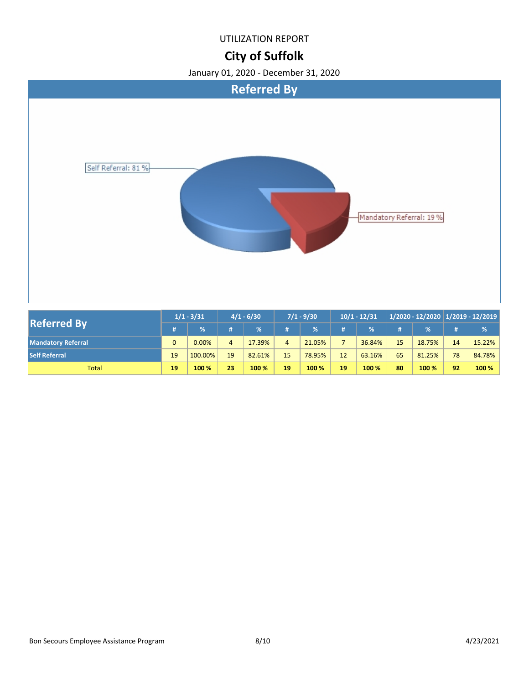### **City of Suffolk**



| <b>Referred By</b>        | $1/1 - 3/31$ |          | $4/1 - 6/30$ |        | $7/1 - 9/30$ |        | $10/1 - 12/31$ |        |    |        | 1/2020 - 12/2020   1/2019 - 12/2019 |         |
|---------------------------|--------------|----------|--------------|--------|--------------|--------|----------------|--------|----|--------|-------------------------------------|---------|
|                           |              | %        |              | 1%     |              | $\%$   | #              | %      |    | %      | #                                   | %       |
| <b>Mandatory Referral</b> | $\Omega$     | $0.00\%$ | 4            | 17.39% |              | 21.05% |                | 36.84% | 15 | 18.75% | 14                                  | 15.22%  |
| <b>Self Referral</b>      | 19           | 100.00%  | 19           | 82.61% | 15           | 78.95% | 12             | 63.16% | 65 | 81.25% | 78                                  | 84.78%  |
| <b>Total</b>              | 19           | 100 %    | 23           | 100 %  | 19           | 100 %  | 19             | 100 %  | 80 | 100 %  | 92                                  | $100\%$ |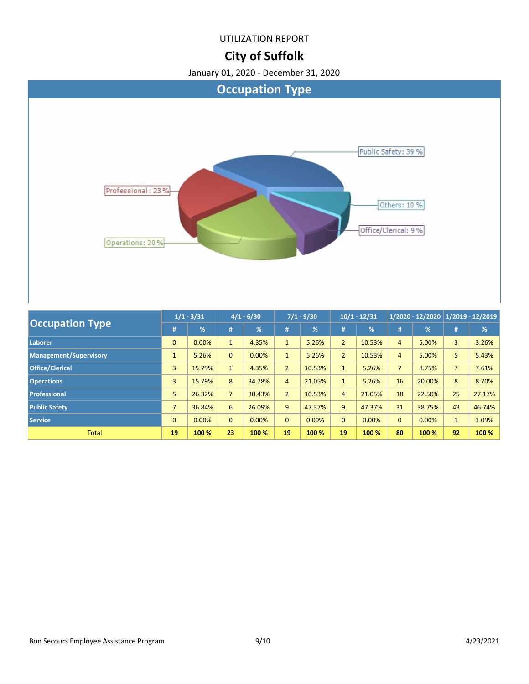### **City of Suffolk**



| <b>Occupation Type</b>        | $1/1 - 3/31$   |               | $4/1 - 6/30$   |               | $7/1 - 9/30$   |        | $10/1 - 12/31$ |               | $1/2020 - 12/2020$ 1/2019 - 12/2019 |               |                |        |
|-------------------------------|----------------|---------------|----------------|---------------|----------------|--------|----------------|---------------|-------------------------------------|---------------|----------------|--------|
|                               | #              | $\frac{9}{6}$ | #              | $\frac{9}{6}$ | #              | %      | #              | $\frac{9}{6}$ | #                                   | $\frac{9}{6}$ | #              | %      |
| Laborer                       | $\mathbf{0}$   | 0.00%         | $\mathbf{1}$   | 4.35%         |                | 5.26%  | $\overline{2}$ | 10.53%        | $\overline{4}$                      | 5.00%         | 3              | 3.26%  |
| <b>Management/Supervisory</b> |                | 5.26%         | $\mathbf{0}$   | 0.00%         | $\mathbf{1}$   | 5.26%  | $\overline{2}$ | 10.53%        | 4                                   | 5.00%         | 5              | 5.43%  |
| <b>Office/Clerical</b>        | $\overline{3}$ | 15.79%        | $\mathbf{1}$   | 4.35%         | $\overline{2}$ | 10.53% | $\mathbf{1}$   | 5.26%         | $\overline{7}$                      | 8.75%         | 7 <sup>1</sup> | 7.61%  |
| <b>Operations</b>             | $\overline{3}$ | 15.79%        | 8              | 34.78%        | $\overline{4}$ | 21.05% | $\mathbf{1}$   | 5.26%         | 16                                  | 20.00%        | 8              | 8.70%  |
| <b>Professional</b>           | 5              | 26.32%        | $\overline{7}$ | 30.43%        | $\overline{2}$ | 10.53% | 4              | 21.05%        | 18                                  | 22.50%        | 25             | 27.17% |
| <b>Public Safety</b>          | $\overline{7}$ | 36.84%        | 6              | 26.09%        | 9              | 47.37% | 9              | 47.37%        | 31                                  | 38.75%        | 43             | 46.74% |
| <b>Service</b>                | $\mathbf{0}$   | 0.00%         | $\mathbf{0}$   | 0.00%         | $\Omega$       | 0.00%  | $\mathbf{0}$   | 0.00%         | $\Omega$                            | 0.00%         | $\mathbf{1}$   | 1.09%  |
| <b>Total</b>                  | 19             | 100 %         | 23             | 100 %         | 19             | 100 %  | 19             | 100 %         | 80                                  | 100 %         | 92             | 100 %  |